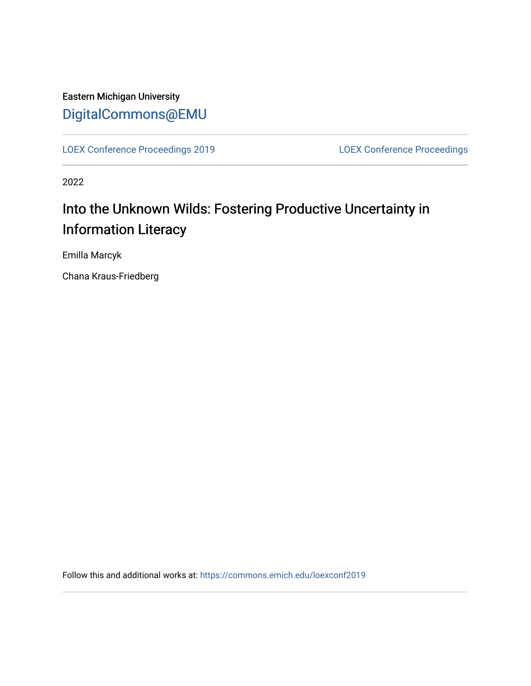## Eastern Michigan University [DigitalCommons@EMU](https://commons.emich.edu/)

[LOEX Conference Proceedings 2019](https://commons.emich.edu/loexconf2019) [LOEX Conference Proceedings](https://commons.emich.edu/loexconf) 

2022

# Into the Unknown Wilds: Fostering Productive Uncertainty in Information Literacy

Emilla Marcyk

Chana Kraus-Friedberg

Follow this and additional works at: [https://commons.emich.edu/loexconf2019](https://commons.emich.edu/loexconf2019?utm_source=commons.emich.edu%2Floexconf2019%2F17&utm_medium=PDF&utm_campaign=PDFCoverPages)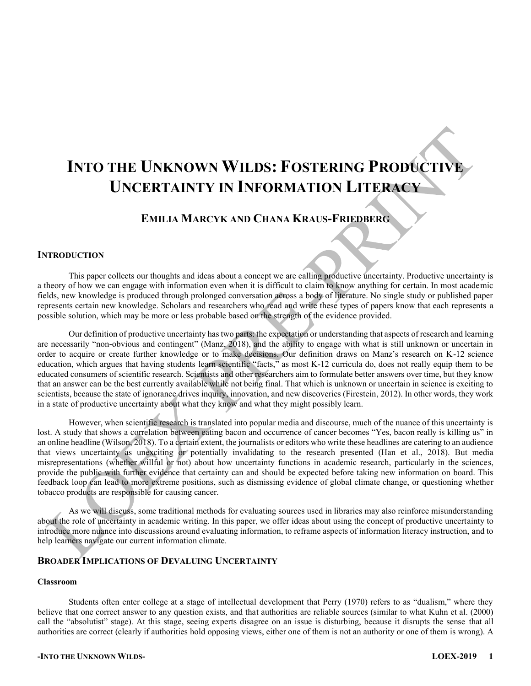# **INTO THE UNKNOWN WILDS: FOSTERING PRODUCTIVE UNCERTAINTY IN INFORMATION LITERACY**

### **EMILIA MARCYK AND CHANA KRAUS-FRIEDBERG**

#### **INTRODUCTION**

This paper collects our thoughts and ideas about a concept we are calling productive uncertainty. Productive uncertainty is a theory of how we can engage with information even when it is difficult to claim to know anything for certain. In most academic fields, new knowledge is produced through prolonged conversation across a body of literature. No single study or published paper represents certain new knowledge. Scholars and researchers who read and write these types of papers know that each represents a possible solution, which may be more or less probable based on the strength of the evidence provided.

Our definition of productive uncertainty has two parts: the expectation or understanding that aspects of research and learning are necessarily "non-obvious and contingent" (Manz, 2018), and the ability to engage with what is still unknown or uncertain in order to acquire or create further knowledge or to make decisions. Our definition draws on Manz's research on K-12 science education, which argues that having students learn scientific "facts," as most K-12 curricula do, does not really equip them to be educated consumers of scientific research. Scientists and other researchers aim to formulate better answers over time, but they know that an answer can be the best currently available while not being final. That which is unknown or uncertain in science is exciting to scientists, because the state of ignorance drives inquiry, innovation, and new discoveries (Firestein, 2012). In other words, they work in a state of productive uncertainty about what they know and what they might possibly learn.

However, when scientific research is translated into popular media and discourse, much of the nuance of this uncertainty is lost. A study that shows a correlation between eating bacon and occurrence of cancer becomes "Yes, bacon really is killing us" in an online headline (Wilson, 2018). To a certain extent, the journalists or editors who write these headlines are catering to an audience that views uncertainty as unexciting or potentially invalidating to the research presented (Han et al., 2018). But media misrepresentations (whether willful or not) about how uncertainty functions in academic research, particularly in the sciences, provide the public with further evidence that certainty can and should be expected before taking new information on board. This feedback loop can lead to more extreme positions, such as dismissing evidence of global climate change, or questioning whether tobacco products are responsible for causing cancer.

As we will discuss, some traditional methods for evaluating sources used in libraries may also reinforce misunderstanding about the role of uncertainty in academic writing. In this paper, we offer ideas about using the concept of productive uncertainty to introduce more nuance into discussions around evaluating information, to reframe aspects of information literacy instruction, and to help learners navigate our current information climate.

#### **BROADER IMPLICATIONS OF DEVALUING UNCERTAINTY**

#### **Classroom**

Students often enter college at a stage of intellectual development that Perry (1970) refers to as "dualism," where they believe that one correct answer to any question exists, and that authorities are reliable sources (similar to what Kuhn et al. (2000) call the "absolutist" stage). At this stage, seeing experts disagree on an issue is disturbing, because it disrupts the sense that all authorities are correct (clearly if authorities hold opposing views, either one of them is not an authority or one of them is wrong). A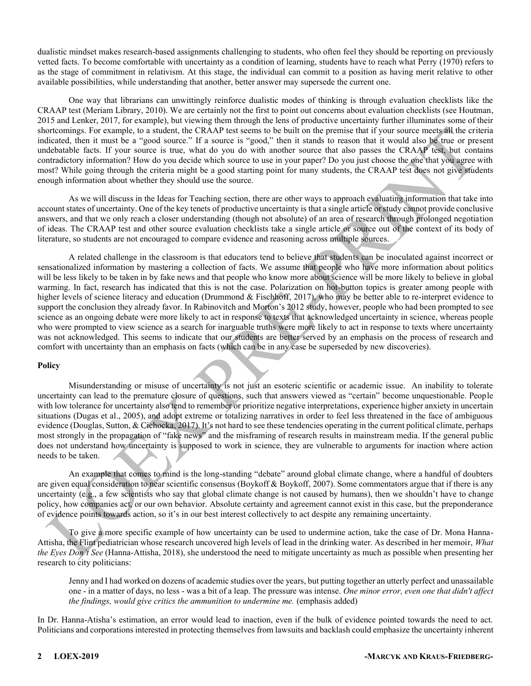dualistic mindset makes research-based assignments challenging to students, who often feel they should be reporting on previously vetted facts. To become comfortable with uncertainty as a condition of learning, students have to reach what Perry (1970) refers to as the stage of commitment in relativism. At this stage, the individual can commit to a position as having merit relative to other available possibilities, while understanding that another, better answer may supersede the current one.

One way that librarians can unwittingly reinforce dualistic modes of thinking is through evaluation checklists like the CRAAP test (Meriam Library, 2010). We are certainly not the first to point out concerns about evaluation checklists (see Houtman, 2015 and Lenker, 2017, for example), but viewing them through the lens of productive uncertainty further illuminates some of their shortcomings. For example, to a student, the CRAAP test seems to be built on the premise that if your source meets all the criteria indicated, then it must be a "good source." If a source is "good," then it stands to reason that it would also be true or present undebatable facts. If your source is true, what do you do with another source that also passes the CRAAP test, but contains contradictory information? How do you decide which source to use in your paper? Do you just choose the one that you agree with most? While going through the criteria might be a good starting point for many students, the CRAAP test does not give students enough information about whether they should use the source.

As we will discuss in the Ideas for Teaching section, there are other ways to approach evaluating information that take into account states of uncertainty. One of the key tenets of productive uncertainty is that a single article or study cannot provide conclusive answers, and that we only reach a closer understanding (though not absolute) of an area of research through prolonged negotiation of ideas. The CRAAP test and other source evaluation checklists take a single article or source out of the context of its body of literature, so students are not encouraged to compare evidence and reasoning across multiple sources.

A related challenge in the classroom is that educators tend to believe that students can be inoculated against incorrect or sensationalized information by mastering a collection of facts. We assume that people who have more information about politics will be less likely to be taken in by fake news and that people who know more about science will be more likely to believe in global warming. In fact, research has indicated that this is not the case. Polarization on hot-button topics is greater among people with higher levels of science literacy and education (Drummond & Fischhoff, 2017), who may be better able to re-interpret evidence to support the conclusion they already favor. In Rabinovitch and Morton's 2012 study, however, people who had been prompted to see science as an ongoing debate were more likely to act in response to texts that acknowledged uncertainty in science, whereas people who were prompted to view science as a search for inarguable truths were more likely to act in response to texts where uncertainty was not acknowledged. This seems to indicate that our students are better served by an emphasis on the process of research and comfort with uncertainty than an emphasis on facts (which can be in any case be superseded by new discoveries).

#### **Policy**

Misunderstanding or misuse of uncertainty is not just an esoteric scientific or academic issue. An inability to tolerate uncertainty can lead to the premature closure of questions, such that answers viewed as "certain" become unquestionable. People with low tolerance for uncertainty also tend to remember or prioritize negative interpretations, experience higher anxiety in uncertain situations (Dugas et al., 2005), and adopt extreme or totalizing narratives in order to feel less threatened in the face of ambiguous evidence (Douglas, Sutton, & Cichocka, 2017). It's not hard to see these tendencies operating in the current political climate, perhaps most strongly in the propagation of "fake news" and the misframing of research results in mainstream media. If the general public does not understand how uncertainty is supposed to work in science, they are vulnerable to arguments for inaction where action needs to be taken.

An example that comes to mind is the long-standing "debate" around global climate change, where a handful of doubters are given equal consideration to near scientific consensus (Boykoff & Boykoff, 2007). Some commentators argue that if there is any uncertainty (e.g., a few scientists who say that global climate change is not caused by humans), then we shouldn't have to change policy, how companies act, or our own behavior. Absolute certainty and agreement cannot exist in this case, but the preponderance of evidence points towards action, so it's in our best interest collectively to act despite any remaining uncertainty.

To give a more specific example of how uncertainty can be used to undermine action, take the case of Dr. Mona Hanna-Attisha, the Flint pediatrician whose research uncovered high levels of lead in the drinking water. As described in her memoir, *What the Eyes Don't See* (Hanna-Attisha, 2018), she understood the need to mitigate uncertainty as much as possible when presenting her research to city politicians:

Jenny and I had worked on dozens of academic studies over the years, but putting together an utterly perfect and unassailable one - in a matter of days, no less - was a bit of a leap. The pressure was intense. *One minor error, even one that didn't affect the findings, would give critics the ammunition to undermine me.* (emphasis added)

In Dr. Hanna-Atisha's estimation, an error would lead to inaction, even if the bulk of evidence pointed towards the need to act. Politicians and corporations interested in protecting themselves from lawsuits and backlash could emphasize the uncertainty inherent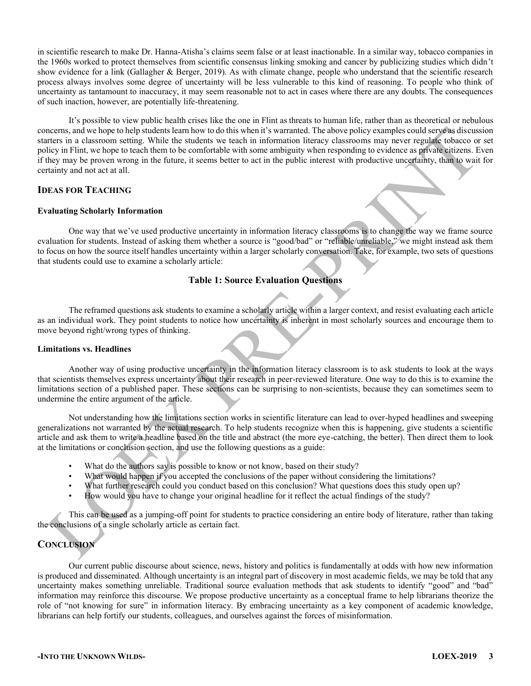in scientific research to make Dr. Hanna-Atisha's claims seem false or at least inactionable. In a similar way, tobacco companies in the 1960s worked to protect themselves from scientific consensus linking smoking and cancer by publicizing studies which didn't show evidence for a link (Gallagher & Berger, 2019). As with climate change, people who understand that the scientific research process always involves some degree of uncertainty will be less vulnerable to this kind of reasoning. To people who think of uncertainty as tantamount to inaccuracy, it may seem reasonable not to act in cases where there are any doubts. The consequences of such inaction, however, are potentially life-threatening.

It's possible to view public health crises like the one in Flint as threats to human life, rather than as theoretical or nebulous concerns, and we hope to help students learn how to do this when it's warranted. The above policy examples could serve as discussion starters in a classroom setting. While the students we teach in information literacy classrooms may never regulate tobacco or set policy in Flint, we hope to teach them to be comfortable with some ambiguity when responding to evidence as private citizens. Even if they may be proven wrong in the future, it seems better to act in the public interest with productive uncertainty, than to wait for certainty and not act at all.

#### **IDEAS FOR TEACHING**

#### **Evaluating Scholarly Information**

One way that we've used productive uncertainty in information literacy classrooms is to change the way we frame source evaluation for students. Instead of asking them whether a source is "good/bad" or "reliable/unreliable." we might instead ask them to focus on how the source itself handles uncertainty within a larger scholarly conversation. Take, for example, two sets of questions that students could use to examine a scholarly article:

#### **Table 1: Source Evaluation Questions**

The reframed questions ask students to examine a scholarly article within a larger context, and resist evaluating each article as an individual work. They point students to notice how uncertainty is inherent in most scholarly sources and encourage them to move beyond right/wrong types of thinking.

#### **Limitations vs. Headlines**

Another way of using productive uncertainty in the information literacy classroom is to ask students to look at the ways that scientists themselves express uncertainty about their research in peer-reviewed literature. One way to do this is to examine the limitations section of a published paper. These sections can be surprising to non-scientists, because they can sometimes seem to undermine the entire argument of the article.

Not understanding how the limitations section works in scientific literature can lead to over-hyped headlines and sweeping generalizations not warranted by the actual research. To help students recognize when this is happening, give students a scientific article and ask them to write a headline based on the title and abstract (the more eye-catching, the better). Then direct them to look at the limitations or conclusion section, and use the following questions as a guide:

- What do the authors say is possible to know or not know, based on their study?
- What would happen if you accepted the conclusions of the paper without considering the limitations?
- What further research could you conduct based on this conclusion? What questions does this study open up?
- How would you have to change your original headline for it reflect the actual findings of the study?

This can be used as a jumping-off point for students to practice considering an entire body of literature, rather than taking the conclusions of a single scholarly article as certain fact.

#### **CONCLUSION**

Our current public discourse about science, news, history and politics is fundamentally at odds with how new information is produced and disseminated. Although uncertainty is an integral part of discovery in most academic fields, we may be told that any uncertainty makes something unreliable. Traditional source evaluation methods that ask students to identify "good" and "bad" information may reinforce this discourse. We propose productive uncertainty as a conceptual frame to help librarians theorize the role of "not knowing for sure" in information literacy. By embracing uncertainty as a key component of academic knowledge, librarians can help fortify our students, colleagues, and ourselves against the forces of misinformation.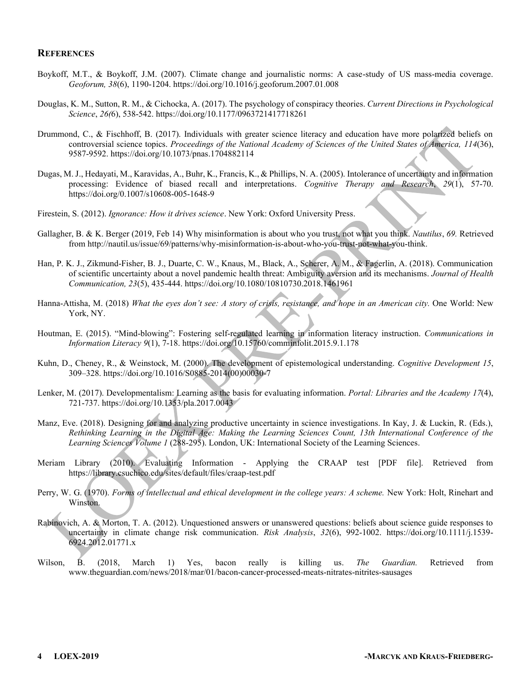#### **REFERENCES**

- Boykoff, M.T., & Boykoff, J.M. (2007). Climate change and journalistic norms: A case-study of US mass-media coverage. *Geoforum, 38*(6), 1190-1204. https://doi.org/10.1016/j.geoforum.2007.01.008
- Douglas, K. M., Sutton, R. M., & Cichocka, A. (2017). The psychology of conspiracy theories. *Current Directions in Psychological Science*, *26(*6), 538-542. https://doi.org/10.1177/0963721417718261
- Drummond, C., & Fischhoff, B. (2017). Individuals with greater science literacy and education have more polarized beliefs on controversial science topics. *Proceedings of the National Academy of Sciences of the United States of America, 114*(36), 9587-9592. https://doi.org/10.1073/pnas.1704882114
- Dugas, M. J., Hedayati, M., Karavidas, A., Buhr, K., Francis, K., & Phillips, N. A. (2005). Intolerance of uncertainty and information processing: Evidence of biased recall and interpretations. *Cognitive Therapy and Research*, *29*(1), 57-70. https://doi.org/0.1007/s10608-005-1648-9
- Firestein, S. (2012). *Ignorance: How it drives science*. New York: Oxford University Press.
- Gallagher, B. & K. Berger (2019, Feb 14) Why misinformation is about who you trust, not what you think. *Nautilus*, *69.* Retrieved from http://nautil.us/issue/69/patterns/why-misinformation-is-about-who-you-trust-not-what-you-think.
- Han, P. K. J., Zikmund-Fisher, B. J., Duarte, C. W., Knaus, M., Black, A., Scherer, A. M., & Fagerlin, A. (2018). Communication of scientific uncertainty about a novel pandemic health threat: Ambiguity aversion and its mechanisms. *Journal of Health Communication, 23*(5), 435-444. https://doi.org/10.1080/10810730.2018.1461961
- Hanna-Attisha, M. (2018) What the eyes don't see: A story of crisis, resistance, and hope in an American city. One World: New York, NY.
- Houtman, E. (2015). "Mind-blowing": Fostering self-regulated learning in information literacy instruction. *Communications in Information Literacy 9*(1), 7-18. https://doi.org/10.15760/comminfolit.2015.9.1.178
- Kuhn, D., Cheney, R., & Weinstock, M. (2000). The development of epistemological understanding. *Cognitive Development 15*, 309±328. https://doi.org/10.1016/S0885-2014(00)00030-7
- Lenker, M. (2017). Developmentalism: Learning as the basis for evaluating information. *Portal: Libraries and the Academy 17*(4), 721-737. https://doi.org/10.1353/pla.2017.0043
- Manz, Eve. (2018). Designing for and analyzing productive uncertainty in science investigations. In Kay, J. & Luckin, R. (Eds.), *Rethinking Learning in the Digital Age: Making the Learning Sciences Count, 13th International Conference of the Learning Sciences Volume 1* (288-295). London, UK: International Society of the Learning Sciences.
- Meriam Library (2010). Evaluating Information Applying the CRAAP test [PDF file]. Retrieved from https://library.csuchico.edu/sites/default/files/craap-test.pdf
- Perry, W. G. (1970). *Forms of intellectual and ethical development in the college years: A scheme.* New York: Holt, Rinehart and Winston.
- Rabinovich, A. & Morton, T. A. (2012). Unquestioned answers or unanswered questions: beliefs about science guide responses to uncertainty in climate change risk communication. *Risk Analysis*, *32*(6), 992-1002. https://doi.org/10.1111/j.1539- 6924.2012.01771.x
- Wilson, B. (2018, March 1) Yes, bacon really is killing us. *The Guardian.* Retrieved from www.theguardian.com/news/2018/mar/01/bacon-cancer-processed-meats-nitrates-nitrites-sausages